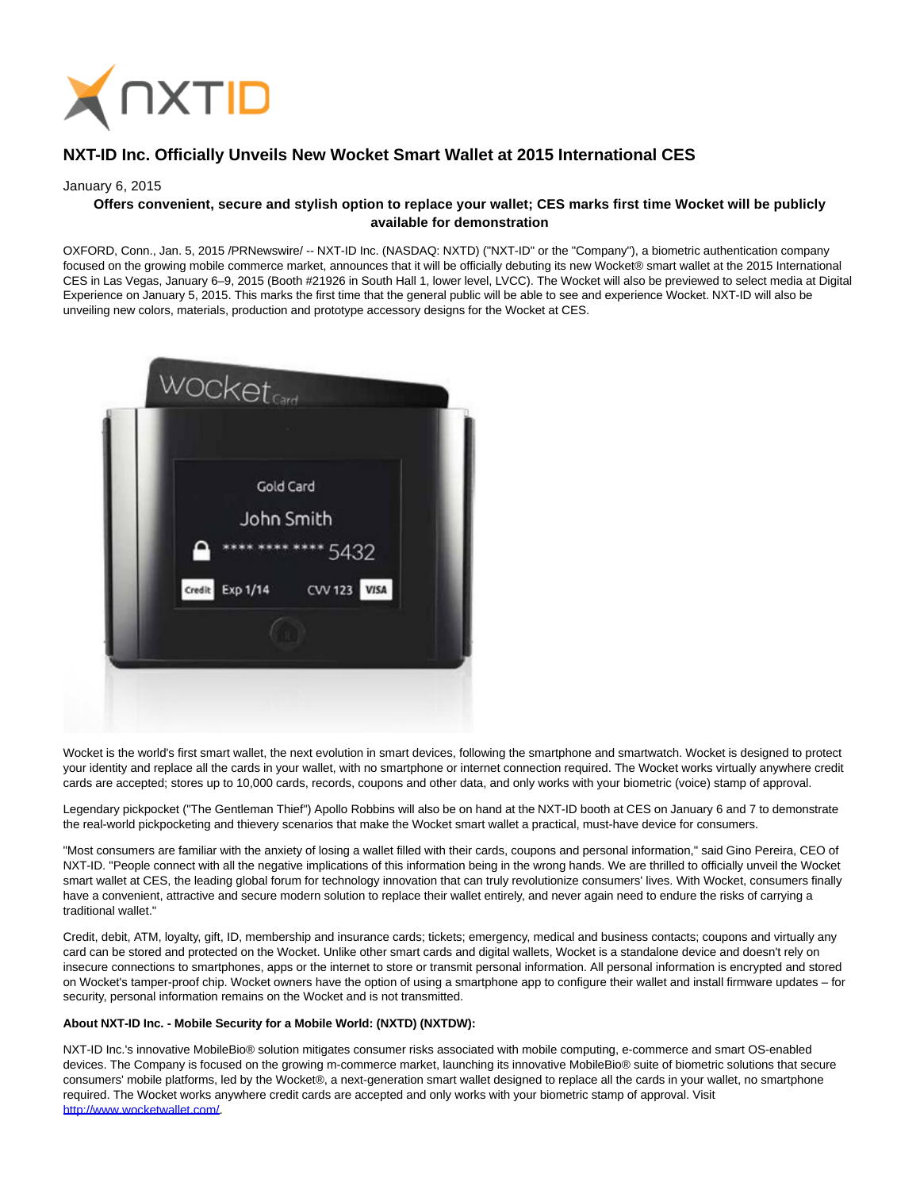

## **NXT-ID Inc. Officially Unveils New Wocket Smart Wallet at 2015 International CES**

## January 6, 2015

## **Offers convenient, secure and stylish option to replace your wallet; CES marks first time Wocket will be publicly available for demonstration**

OXFORD, Conn., Jan. 5, 2015 /PRNewswire/ -- NXT-ID Inc. (NASDAQ: NXTD) ("NXT-ID" or the "Company"), a biometric authentication company focused on the growing mobile commerce market, announces that it will be officially debuting its new Wocket® smart wallet at the 2015 International CES in Las Vegas, January 6–9, 2015 (Booth #21926 in South Hall 1, lower level, LVCC). The Wocket will also be previewed to select media at Digital Experience on January 5, 2015. This marks the first time that the general public will be able to see and experience Wocket. NXT-ID will also be unveiling new colors, materials, production and prototype accessory designs for the Wocket at CES.



Wocket is the world's first smart wallet, the next evolution in smart devices, following the smartphone and smartwatch. Wocket is designed to protect your identity and replace all the cards in your wallet, with no smartphone or internet connection required. The Wocket works virtually anywhere credit cards are accepted; stores up to 10,000 cards, records, coupons and other data, and only works with your biometric (voice) stamp of approval.

Legendary pickpocket ("The Gentleman Thief") Apollo Robbins will also be on hand at the NXT-ID booth at CES on January 6 and 7 to demonstrate the real-world pickpocketing and thievery scenarios that make the Wocket smart wallet a practical, must-have device for consumers.

"Most consumers are familiar with the anxiety of losing a wallet filled with their cards, coupons and personal information," said Gino Pereira, CEO of NXT-ID. "People connect with all the negative implications of this information being in the wrong hands. We are thrilled to officially unveil the Wocket smart wallet at CES, the leading global forum for technology innovation that can truly revolutionize consumers' lives. With Wocket, consumers finally have a convenient, attractive and secure modern solution to replace their wallet entirely, and never again need to endure the risks of carrying a traditional wallet."

Credit, debit, ATM, loyalty, gift, ID, membership and insurance cards; tickets; emergency, medical and business contacts; coupons and virtually any card can be stored and protected on the Wocket. Unlike other smart cards and digital wallets, Wocket is a standalone device and doesn't rely on insecure connections to smartphones, apps or the internet to store or transmit personal information. All personal information is encrypted and stored on Wocket's tamper-proof chip. Wocket owners have the option of using a smartphone app to configure their wallet and install firmware updates – for security, personal information remains on the Wocket and is not transmitted.

## **About NXT-ID Inc. - Mobile Security for a Mobile World: (NXTD) (NXTDW):**

NXT-ID Inc.'s innovative MobileBio® solution mitigates consumer risks associated with mobile computing, e-commerce and smart OS-enabled devices. The Company is focused on the growing m-commerce market, launching its innovative MobileBio® suite of biometric solutions that secure consumers' mobile platforms, led by the Wocket®, a next-generation smart wallet designed to replace all the cards in your wallet, no smartphone required. The Wocket works anywhere credit cards are accepted and only works with your biometric stamp of approval. Visit [http://www.wocketwallet.com/.](http://www.wocketwallet.com/)